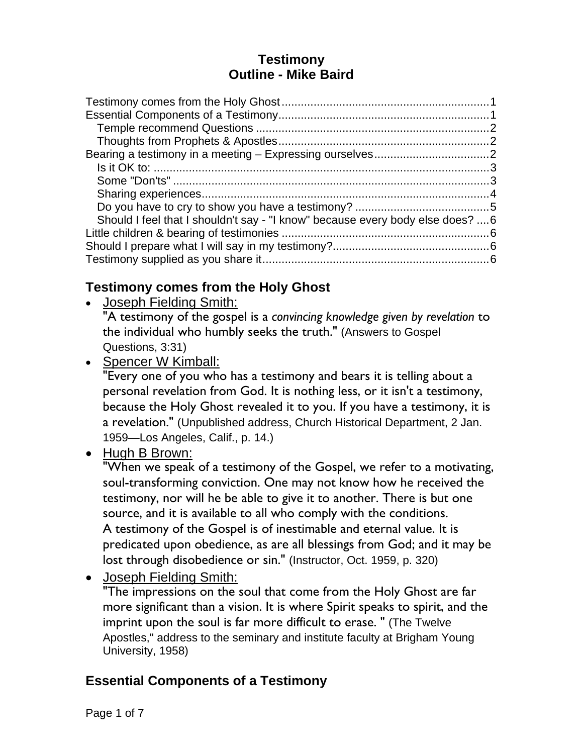## **Testimony Outline - Mike Baird**

| Should I feel that I shouldn't say - "I know" because every body else does?  6 |  |
|--------------------------------------------------------------------------------|--|
|                                                                                |  |
|                                                                                |  |
|                                                                                |  |

# **Testimony comes from the Holy Ghost**

Joseph Fielding Smith:

"A testimony of the gospel is a *convincing knowledge given by revelation* to the individual who humbly seeks the truth." (Answers to Gospel Questions, 3:31)

• Spencer W Kimball:

"Every one of you who has a testimony and bears it is telling about a personal revelation from God. It is nothing less, or it isn't a testimony, because the Holy Ghost revealed it to you. If you have a testimony, it is a revelation." (Unpublished address, Church Historical Department, 2 Jan. 1959—Los Angeles, Calif., p. 14.)

## • Hugh B Brown:

"When we speak of a testimony of the Gospel, we refer to a motivating, soul-transforming conviction. One may not know how he received the testimony, nor will he be able to give it to another. There is but one source, and it is available to all who comply with the conditions. A testimony of the Gospel is of inestimable and eternal value. It is predicated upon obedience, as are all blessings from God; and it may be lost through disobedience or sin." (Instructor, Oct. 1959, p. 320)

Joseph Fielding Smith:

"The impressions on the soul that come from the Holy Ghost are far more significant than a vision. It is where Spirit speaks to spirit, and the imprint upon the soul is far more difficult to erase. " (The Twelve Apostles," address to the seminary and institute faculty at Brigham Young University, 1958)

## **Essential Components of a Testimony**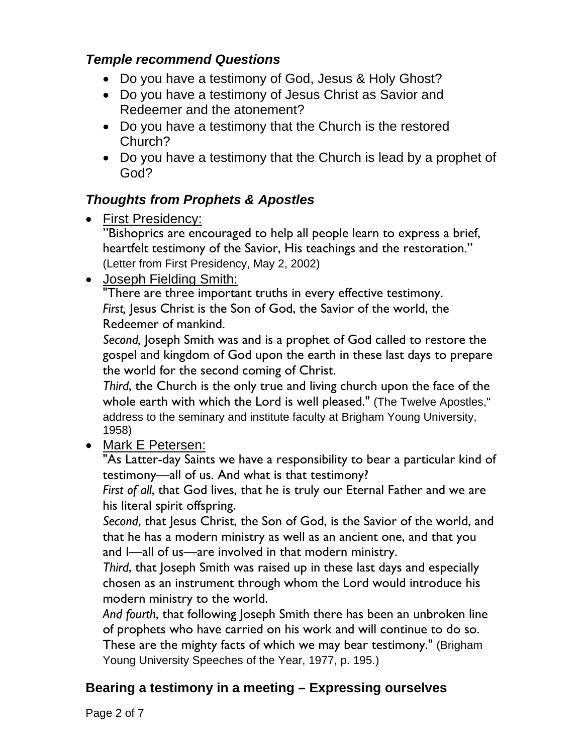#### *Temple recommend Questions*

- Do you have a testimony of God, Jesus & Holy Ghost?
- Do you have a testimony of Jesus Christ as Savior and Redeemer and the atonement?
- Do you have a testimony that the Church is the restored Church?
- Do you have a testimony that the Church is lead by a prophet of God?

## *Thoughts from Prophets & Apostles*

• First Presidency:

"Bishoprics are encouraged to help all people learn to express a brief, heartfelt testimony of the Savior, His teachings and the restoration." (Letter from First Presidency, May 2, 2002)

Joseph Fielding Smith:

"There are three important truths in every effective testimony. *First,* Jesus Christ is the Son of God, the Savior of the world, the Redeemer of mankind.

*Second,* Joseph Smith was and is a prophet of God called to restore the gospel and kingdom of God upon the earth in these last days to prepare the world for the second coming of Christ.

*Third*, the Church is the only true and living church upon the face of the whole earth with which the Lord is well pleased." (The Twelve Apostles," address to the seminary and institute faculty at Brigham Young University, 1958)

• Mark E Petersen:

"As Latter-day Saints we have a responsibility to bear a particular kind of testimony—all of us. And what is that testimony?

*First of all*, that God lives, that he is truly our Eternal Father and we are his literal spirit offspring.

*Second*, that Jesus Christ, the Son of God, is the Savior of the world, and that he has a modern ministry as well as an ancient one, and that you and I—all of us—are involved in that modern ministry.

*Third*, that Joseph Smith was raised up in these last days and especially chosen as an instrument through whom the Lord would introduce his modern ministry to the world.

*And fourth*, that following Joseph Smith there has been an unbroken line of prophets who have carried on his work and will continue to do so. These are the mighty facts of which we may bear testimony." (Brigham Young University Speeches of the Year, 1977, p. 195.)

# **Bearing a testimony in a meeting – Expressing ourselves**

Page 2 of 7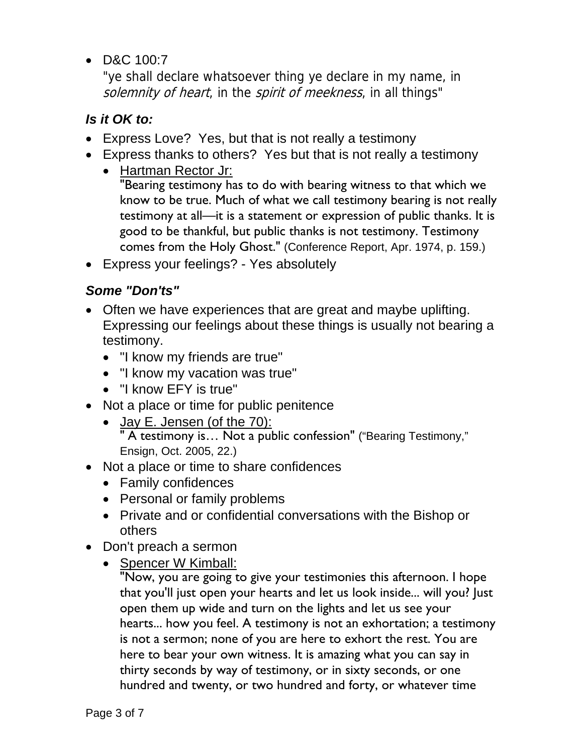D&C 100:7

"ye shall declare whatsoever thing ye declare in my name, in solemnity of heart, in the spirit of meekness, in all things"

## *Is it OK to:*

- Express Love? Yes, but that is not really a testimony
- Express thanks to others? Yes but that is not really a testimony
	- Hartman Rector Jr: "Bearing testimony has to do with bearing witness to that which we know to be true. Much of what we call testimony bearing is not really testimony at all—it is a statement or expression of public thanks. It is good to be thankful, but public thanks is not testimony. Testimony comes from the Holy Ghost." (Conference Report, Apr. 1974, p. 159.)
- Express your feelings? Yes absolutely

## *Some "Don'ts"*

- Often we have experiences that are great and maybe uplifting. Expressing our feelings about these things is usually not bearing a testimony.
	- "I know my friends are true"
	- "I know my vacation was true"
	- "I know EFY is true"
- Not a place or time for public penitence
	- Jay E. Jensen (of the 70): " A testimony is… Not a public confession" ("Bearing Testimony," Ensign, Oct. 2005, 22.)
- Not a place or time to share confidences
	- Family confidences
	- Personal or family problems
	- Private and or confidential conversations with the Bishop or others
- Don't preach a sermon
	- Spencer W Kimball:
		- "Now, you are going to give your testimonies this afternoon. I hope that you'll just open your hearts and let us look inside... will you? Just open them up wide and turn on the lights and let us see your hearts... how you feel. A testimony is not an exhortation; a testimony is not a sermon; none of you are here to exhort the rest. You are here to bear your own witness. It is amazing what you can say in thirty seconds by way of testimony, or in sixty seconds, or one hundred and twenty, or two hundred and forty, or whatever time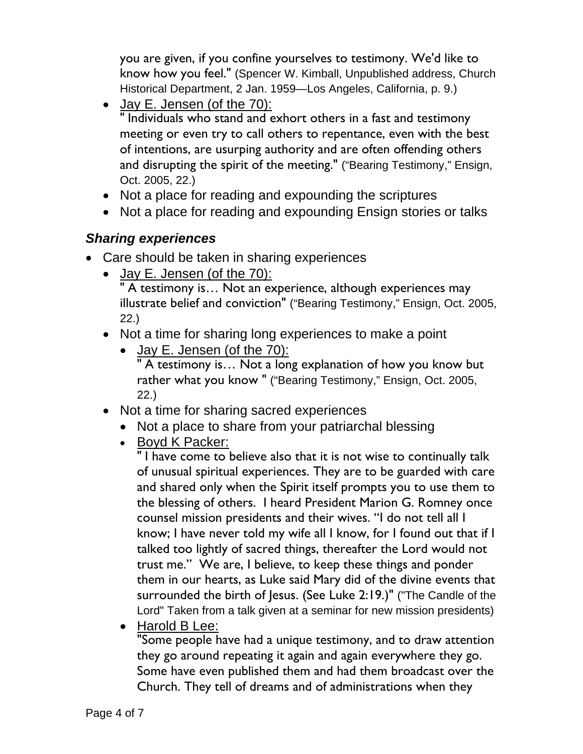you are given, if you confine yourselves to testimony. We'd like to know how you feel." (Spencer W. Kimball, Unpublished address, Church Historical Department, 2 Jan. 1959—Los Angeles, California, p. 9.)

Jay E. Jensen (of the 70):

" Individuals who stand and exhort others in a fast and testimony meeting or even try to call others to repentance, even with the best of intentions, are usurping authority and are often offending others and disrupting the spirit of the meeting." ("Bearing Testimony," Ensign, Oct. 2005, 22.)

- Not a place for reading and expounding the scriptures
- Not a place for reading and expounding Ensign stories or talks

# *Sharing experiences*

- Care should be taken in sharing experiences
	- Jay E. Jensen (of the 70):

" A testimony is… Not an experience, although experiences may illustrate belief and conviction" ("Bearing Testimony," Ensign, Oct. 2005, 22.)

- Not a time for sharing long experiences to make a point
	- Jay E. Jensen (of the 70): " A testimony is... Not a long explanation of how you know but rather what you know " ("Bearing Testimony," Ensign, Oct. 2005, 22.)
- Not a time for sharing sacred experiences
	- Not a place to share from your patriarchal blessing
	- Boyd K Packer:

" I have come to believe also that it is not wise to continually talk of unusual spiritual experiences. They are to be guarded with care and shared only when the Spirit itself prompts you to use them to the blessing of others. I heard President Marion G. Romney once counsel mission presidents and their wives. "I do not tell all I know; I have never told my wife all I know, for I found out that if I talked too lightly of sacred things, thereafter the Lord would not trust me." We are, I believe, to keep these things and ponder them in our hearts, as Luke said Mary did of the divine events that surrounded the birth of Jesus. (See Luke 2:19.)" ("The Candle of the Lord" Taken from a talk given at a seminar for new mission presidents)

Harold B Lee:

"Some people have had a unique testimony, and to draw attention they go around repeating it again and again everywhere they go. Some have even published them and had them broadcast over the Church. They tell of dreams and of administrations when they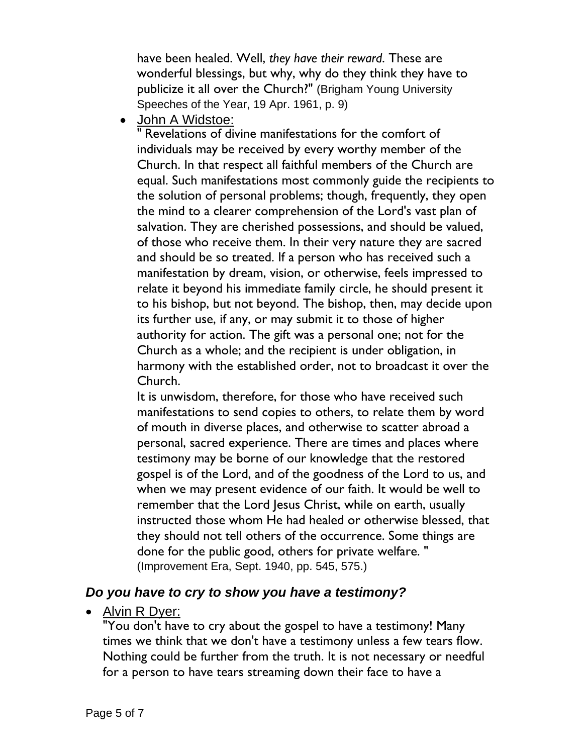have been healed. Well, *they have their reward*. These are wonderful blessings, but why, why do they think they have to publicize it all over the Church?" (Brigham Young University Speeches of the Year, 19 Apr. 1961, p. 9)

John A Widstoe:

" Revelations of divine manifestations for the comfort of individuals may be received by every worthy member of the Church. In that respect all faithful members of the Church are equal. Such manifestations most commonly guide the recipients to the solution of personal problems; though, frequently, they open the mind to a clearer comprehension of the Lord's vast plan of salvation. They are cherished possessions, and should be valued, of those who receive them. In their very nature they are sacred and should be so treated. If a person who has received such a manifestation by dream, vision, or otherwise, feels impressed to relate it beyond his immediate family circle, he should present it to his bishop, but not beyond. The bishop, then, may decide upon its further use, if any, or may submit it to those of higher authority for action. The gift was a personal one; not for the Church as a whole; and the recipient is under obligation, in harmony with the established order, not to broadcast it over the Church.

It is unwisdom, therefore, for those who have received such manifestations to send copies to others, to relate them by word of mouth in diverse places, and otherwise to scatter abroad a personal, sacred experience. There are times and places where testimony may be borne of our knowledge that the restored gospel is of the Lord, and of the goodness of the Lord to us, and when we may present evidence of our faith. It would be well to remember that the Lord Jesus Christ, while on earth, usually instructed those whom He had healed or otherwise blessed, that they should not tell others of the occurrence. Some things are done for the public good, others for private welfare. " (Improvement Era, Sept. 1940, pp. 545, 575.)

#### *Do you have to cry to show you have a testimony?*

• Alvin R Dyer:

"You don't have to cry about the gospel to have a testimony! Many times we think that we don't have a testimony unless a few tears flow. Nothing could be further from the truth. It is not necessary or needful for a person to have tears streaming down their face to have a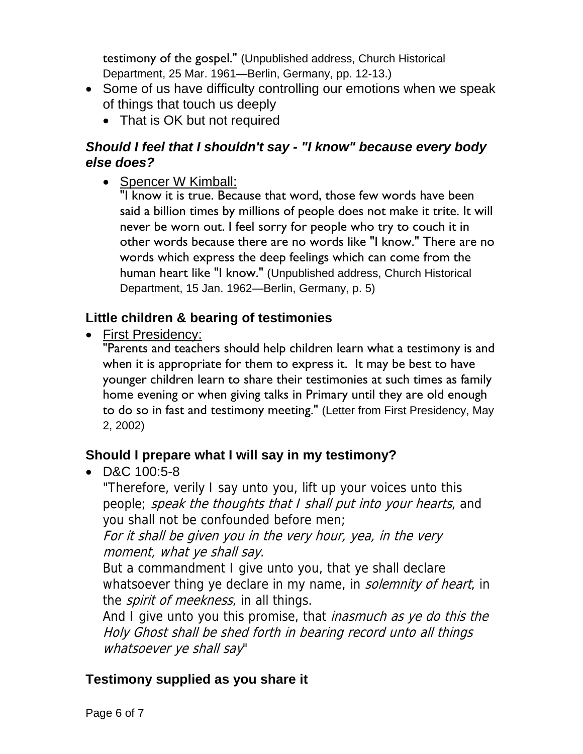testimony of the gospel." (Unpublished address, Church Historical Department, 25 Mar. 1961—Berlin, Germany, pp. 12-13.)

- Some of us have difficulty controlling our emotions when we speak of things that touch us deeply
	- That is OK but not required

## *Should I feel that I shouldn't say - "I know" because every body else does?*

• Spencer W Kimball:

"I know it is true. Because that word, those few words have been said a billion times by millions of people does not make it trite. It will never be worn out. I feel sorry for people who try to couch it in other words because there are no words like "I know." There are no words which express the deep feelings which can come from the human heart like "I know." (Unpublished address, Church Historical Department, 15 Jan. 1962—Berlin, Germany, p. 5)

# **Little children & bearing of testimonies**

• First Presidency:

"Parents and teachers should help children learn what a testimony is and when it is appropriate for them to express it. It may be best to have younger children learn to share their testimonies at such times as family home evening or when giving talks in Primary until they are old enough to do so in fast and testimony meeting." (Letter from First Presidency, May 2, 2002)

# **Should I prepare what I will say in my testimony?**

D&C 100:5-8

"Therefore, verily I say unto you, lift up your voices unto this people; speak the thoughts that I shall put into your hearts, and you shall not be confounded before men;

For it shall be given you in the very hour, yea, in the very moment, what ye shall say.

But a commandment I give unto you, that ye shall declare whatsoever thing ye declare in my name, in *solemnity of heart*, in the *spirit of meekness*, in all things.

And I give unto you this promise, that *inasmuch as ye do this the* Holy Ghost shall be shed forth in bearing record unto all things whatsoever ye shall say"

# **Testimony supplied as you share it**